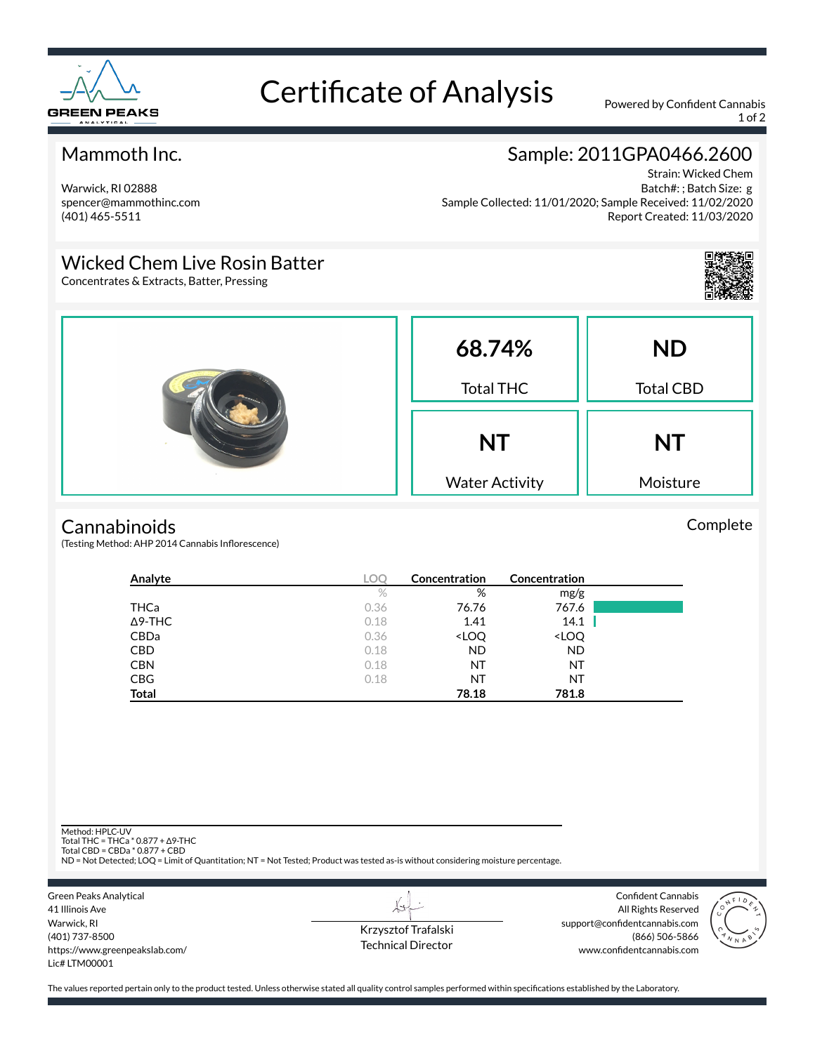

# Certificate of Analysis Powered by Confident Cannabis

1 of 2

## Mammoth Inc.

Warwick, RI 02888 spencer@mammothinc.com (401) 465-5511

# Sample: 2011GPA0466.2600

Strain: Wicked Chem Batch#: ; Batch Size: g Sample Collected: 11/01/2020; Sample Received: 11/02/2020 Report Created: 11/03/2020

## Wicked Chem Live Rosin Batter

Concentrates & Extracts, Batter, Pressing



Complete



#### **Cannabinoids**

(Testing Method: AHP 2014 Cannabis Inflorescence)

| Analyte        | LOC  | Concentration                                            | Concentration                |  |
|----------------|------|----------------------------------------------------------|------------------------------|--|
|                | $\%$ | %                                                        | mg/g                         |  |
| THCa           | 0.36 | 76.76                                                    | 767.6                        |  |
| $\Delta$ 9-THC | 0.18 | 1.41                                                     | 14.1                         |  |
| <b>CBDa</b>    | 0.36 | <loq< td=""><td><loq< td=""><td></td></loq<></td></loq<> | <loq< td=""><td></td></loq<> |  |
| <b>CBD</b>     | 0.18 | <b>ND</b>                                                | <b>ND</b>                    |  |
| <b>CBN</b>     | 0.18 | ΝT                                                       | ΝT                           |  |
| <b>CBG</b>     | 0.18 | ΝT                                                       | ΝT                           |  |
| <b>Total</b>   |      | 78.18                                                    | 781.8                        |  |

Method: HPLC-UV

Total THC = THCa \* 0.877 + ∆9-THC Total CBD = CBDa \* 0.877 + CBD

ND = Not Detected; LOQ = Limit of Quantitation; NT = Not Tested; Product was tested as-is without considering moisture percentage.



Krzysztof Trafalski Technical Director

L+

Confident Cannabis All Rights Reserved support@confidentcannabis.com (866) 506-5866 www.confidentcannabis.com



The values reported pertain only to the product tested. Unless otherwise stated all quality control samples performed within specifications established by the Laboratory.